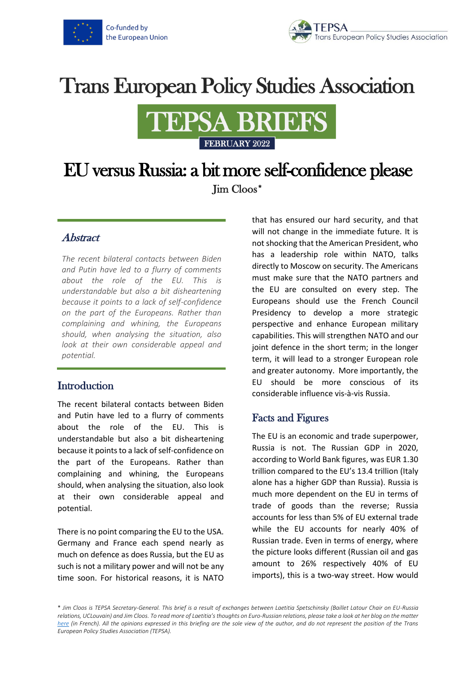

# **Trans European Policy Studies Association**



## EU versus Russia: a bit more self-confidence please Jim Cloos\*

#### Abstract

*The recent bilateral contacts between Biden and Putin have led to a flurry of comments about the role of the EU. This is understandable but also a bit disheartening because it points to a lack of self-confidence on the part of the Europeans. Rather than complaining and whining, the Europeans should, when analysing the situation, also look at their own considerable appeal and potential.*

#### **Introduction**

The recent bilateral contacts between Biden and Putin have led to a flurry of comments about the role of the EU. This is understandable but also a bit disheartening because it points to a lack of self-confidence on the part of the Europeans. Rather than complaining and whining, the Europeans should, when analysing the situation, also look at their own considerable appeal and potential.

There is no point comparing the EU to the USA. Germany and France each spend nearly as much on defence as does Russia, but the EU as such is not a military power and will not be any time soon. For historical reasons, it is NATO

that has ensured our hard security, and that will not change in the immediate future. It is not shocking that the American President, who has a leadership role within NATO, talks directly to Moscow on security. The Americans must make sure that the NATO partners and the EU are consulted on every step. The Europeans should use the French Council Presidency to develop a more strategic perspective and enhance European military capabilities. This will strengthen NATO and our joint defence in the short term; in the longer term, it will lead to a stronger European role and greater autonomy. More importantly, the EU should be more conscious of its considerable influence vis-à-vis Russia.

### Facts and Figures

The EU is an economic and trade superpower, Russia is not. The Russian GDP in 2020, according to World Bank figures, was EUR 1.30 trillion compared to the EU's 13.4 trillion (Italy alone has a higher GDP than Russia). Russia is much more dependent on the EU in terms of trade of goods than the reverse; Russia accounts for less than 5% of EU external trade while the EU accounts for nearly 40% of Russian trade. Even in terms of energy, where the picture looks different (Russian oil and gas amount to 26% respectively 40% of EU imports), this is a two-way street. How would

\* *Jim Cloos is TEPSA Secretary-General. This brief is a result of exchanges between Laetitia Spetschinsky (Baillet Latour Chair on EU-Russia relations, UCLouvain) and Jim Cloos. To read more of Laetitia's thoughts on Euro-Russian relations, please take a look at her blog on the matter [here](https://www.europerussiedebats.org/author/laetitia-spetschinsky/) (in French). All the opinions expressed in this briefing are the sole view of the author, and do not represent the position of the Trans European Policy Studies Association (TEPSA).*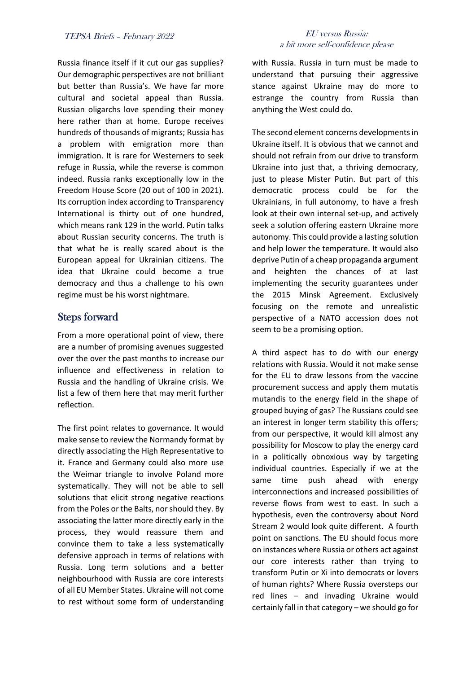Russia finance itself if it cut our gas supplies? Our demographic perspectives are not brilliant but better than Russia's. We have far more cultural and societal appeal than Russia. Russian oligarchs love spending their money here rather than at home. Europe receives hundreds of thousands of migrants; Russia has a problem with emigration more than immigration. It is rare for Westerners to seek refuge in Russia, while the reverse is common indeed. Russia ranks exceptionally low in the Freedom House Score (20 out of 100 in 2021). Its corruption index according to Transparency International is thirty out of one hundred, which means rank 129 in the world. Putin talks about Russian security concerns. The truth is that what he is really scared about is the European appeal for Ukrainian citizens. The idea that Ukraine could become a true democracy and thus a challenge to his own regime must be his worst nightmare.

### Steps forward

From a more operational point of view, there are a number of promising avenues suggested over the over the past months to increase our influence and effectiveness in relation to Russia and the handling of Ukraine crisis. We list a few of them here that may merit further reflection.

The first point relates to governance. It would make sense to review the Normandy format by directly associating the High Representative to it. France and Germany could also more use the Weimar triangle to involve Poland more systematically. They will not be able to sell solutions that elicit strong negative reactions from the Poles or the Balts, nor should they. By associating the latter more directly early in the process, they would reassure them and convince them to take a less systematically defensive approach in terms of relations with Russia. Long term solutions and a better neighbourhood with Russia are core interests of all EU Member States. Ukraine will not come to rest without some form of understanding

#### TEPSA Briefs – February <sup>2022</sup> EU versus Russia: a bit more self-confidence please

with Russia. Russia in turn must be made to understand that pursuing their aggressive stance against Ukraine may do more to estrange the country from Russia than anything the West could do.

The second element concerns developments in Ukraine itself. It is obvious that we cannot and should not refrain from our drive to transform Ukraine into just that, a thriving democracy, just to please Mister Putin. But part of this democratic process could be for the Ukrainians, in full autonomy, to have a fresh look at their own internal set-up, and actively seek a solution offering eastern Ukraine more autonomy. This could provide a lasting solution and help lower the temperature. It would also deprive Putin of a cheap propaganda argument and heighten the chances of at last implementing the security guarantees under the 2015 Minsk Agreement. Exclusively focusing on the remote and unrealistic perspective of a NATO accession does not seem to be a promising option.

A third aspect has to do with our energy relations with Russia. Would it not make sense for the EU to draw lessons from the vaccine procurement success and apply them mutatis mutandis to the energy field in the shape of grouped buying of gas? The Russians could see an interest in longer term stability this offers; from our perspective, it would kill almost any possibility for Moscow to play the energy card in a politically obnoxious way by targeting individual countries. Especially if we at the same time push ahead with energy interconnections and increased possibilities of reverse flows from west to east. In such a hypothesis, even the controversy about Nord Stream 2 would look quite different. A fourth point on sanctions. The EU should focus more on instances where Russia or others act against our core interests rather than trying to transform Putin or Xi into democrats or lovers of human rights? Where Russia oversteps our red lines – and invading Ukraine would certainly fall in that category – we should go for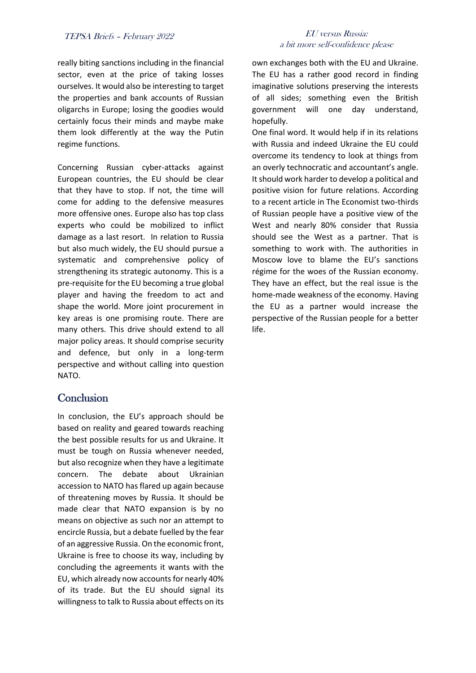really biting sanctions including in the financial sector, even at the price of taking losses ourselves. It would also be interesting to target the properties and bank accounts of Russian oligarchs in Europe; losing the goodies would certainly focus their minds and maybe make them look differently at the way the Putin regime functions.

Concerning Russian cyber-attacks against European countries, the EU should be clear that they have to stop. If not, the time will come for adding to the defensive measures more offensive ones. Europe also has top class experts who could be mobilized to inflict damage as a last resort. In relation to Russia but also much widely, the EU should pursue a systematic and comprehensive policy of strengthening its strategic autonomy. This is a pre-requisite for the EU becoming a true global player and having the freedom to act and shape the world. More joint procurement in key areas is one promising route. There are many others. This drive should extend to all major policy areas. It should comprise security and defence, but only in a long-term perspective and without calling into question NATO.

#### **Conclusion**

In conclusion, the EU's approach should be based on reality and geared towards reaching the best possible results for us and Ukraine. It must be tough on Russia whenever needed, but also recognize when they have a legitimate concern. The debate about Ukrainian accession to NATO has flared up again because of threatening moves by Russia. It should be made clear that NATO expansion is by no means on objective as such nor an attempt to encircle Russia, but a debate fuelled by the fear of an aggressive Russia. On the economic front, Ukraine is free to choose its way, including by concluding the agreements it wants with the EU, which already now accounts for nearly 40% of its trade. But the EU should signal its willingness to talk to Russia about effects on its

#### TEPSA Briefs – February <sup>2022</sup> EU versus Russia: a bit more self-confidence please

own exchanges both with the EU and Ukraine. The EU has a rather good record in finding imaginative solutions preserving the interests of all sides; something even the British government will one day understand, hopefully.

One final word. It would help if in its relations with Russia and indeed Ukraine the EU could overcome its tendency to look at things from an overly technocratic and accountant's angle. It should work harder to develop a political and positive vision for future relations. According to a recent article in The Economist two-thirds of Russian people have a positive view of the West and nearly 80% consider that Russia should see the West as a partner. That is something to work with. The authorities in Moscow love to blame the EU's sanctions régime for the woes of the Russian economy. They have an effect, but the real issue is the home-made weakness of the economy. Having the EU as a partner would increase the perspective of the Russian people for a better life.